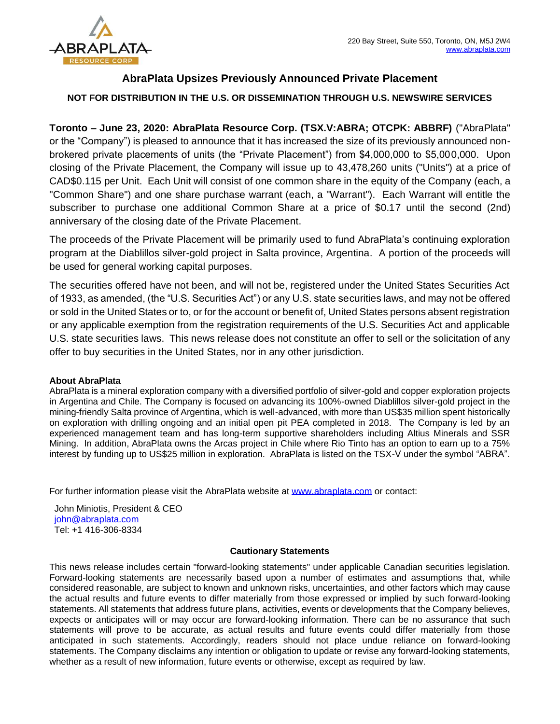

## **AbraPlata Upsizes Previously Announced Private Placement**

## **NOT FOR DISTRIBUTION IN THE U.S. OR DISSEMINATION THROUGH U.S. NEWSWIRE SERVICES**

**Toronto – June 23, 2020: AbraPlata Resource Corp. (TSX.V:ABRA; OTCPK: ABBRF)** ("AbraPlata" or the "Company") is pleased to announce that it has increased the size of its previously announced nonbrokered private placements of units (the "Private Placement") from \$4,000,000 to \$5,000,000. Upon closing of the Private Placement, the Company will issue up to 43,478,260 units ("Units") at a price of CAD\$0.115 per Unit. Each Unit will consist of one common share in the equity of the Company (each, a "Common Share") and one share purchase warrant (each, a "Warrant"). Each Warrant will entitle the subscriber to purchase one additional Common Share at a price of \$0.17 until the second (2nd) anniversary of the closing date of the Private Placement.

The proceeds of the Private Placement will be primarily used to fund AbraPlata's continuing exploration program at the Diablillos silver-gold project in Salta province, Argentina. A portion of the proceeds will be used for general working capital purposes.

The securities offered have not been, and will not be, registered under the United States Securities Act of 1933, as amended, (the "U.S. Securities Act") or any U.S. state securities laws, and may not be offered or sold in the United States or to, or for the account or benefit of, United States persons absent registration or any applicable exemption from the registration requirements of the U.S. Securities Act and applicable U.S. state securities laws. This news release does not constitute an offer to sell or the solicitation of any offer to buy securities in the United States, nor in any other jurisdiction.

## **About AbraPlata**

AbraPlata is a mineral exploration company with a diversified portfolio of silver-gold and copper exploration projects in Argentina and Chile. The Company is focused on advancing its 100%-owned Diablillos silver-gold project in the mining-friendly Salta province of Argentina, which is well-advanced, with more than US\$35 million spent historically on exploration with drilling ongoing and an initial open pit PEA completed in 2018. The Company is led by an experienced management team and has long-term supportive shareholders including Altius Minerals and SSR Mining. In addition, AbraPlata owns the Arcas project in Chile where Rio Tinto has an option to earn up to a 75% interest by funding up to US\$25 million in exploration. AbraPlata is listed on the TSX-V under the symbol "ABRA".

For further information please visit the AbraPlata website at [www.abraplata.com](about:blank) or contact:

John Miniotis, President & CEO [john@abraplata.com](about:blank) Tel: +1 416-306-8334

## **Cautionary Statements**

This news release includes certain "forward-looking statements" under applicable Canadian securities legislation. Forward-looking statements are necessarily based upon a number of estimates and assumptions that, while considered reasonable, are subject to known and unknown risks, uncertainties, and other factors which may cause the actual results and future events to differ materially from those expressed or implied by such forward-looking statements. All statements that address future plans, activities, events or developments that the Company believes, expects or anticipates will or may occur are forward-looking information. There can be no assurance that such statements will prove to be accurate, as actual results and future events could differ materially from those anticipated in such statements. Accordingly, readers should not place undue reliance on forward-looking statements. The Company disclaims any intention or obligation to update or revise any forward-looking statements, whether as a result of new information, future events or otherwise, except as required by law.